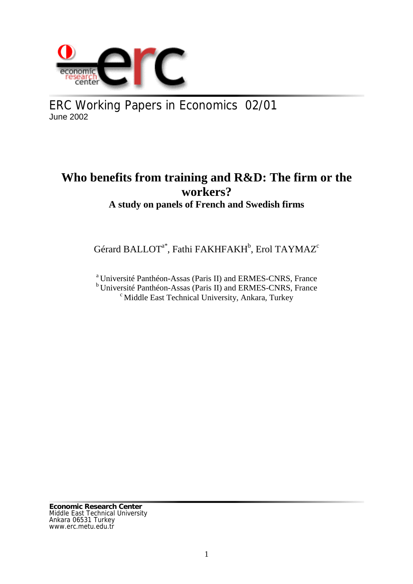

ERC Working Papers in Economics 02/01 June 2002

# **Who benefits from training and R&D: The firm or the workers? A study on panels of French and Swedish firms**

Gérard BALLOT $^{\mathrm{a} *},$  Fathi FAKHFAKH $^{\mathrm{b}},$  Erol TAYMAZ $^{\mathrm{c}}$ 

a Université Panthéon-Assas (Paris II) and ERMES-CNRS, France

 $b$  Université Panthéon-Assas (Paris II) and ERMES-CNRS, France  $c$  Middle East Technical University, Ankara, Turkey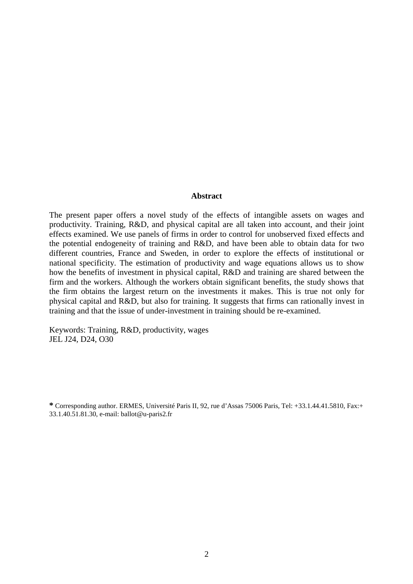#### **Abstract**

The present paper offers a novel study of the effects of intangible assets on wages and productivity. Training, R&D, and physical capital are all taken into account, and their joint effects examined. We use panels of firms in order to control for unobserved fixed effects and the potential endogeneity of training and R&D, and have been able to obtain data for two different countries, France and Sweden, in order to explore the effects of institutional or national specificity. The estimation of productivity and wage equations allows us to show how the benefits of investment in physical capital, R&D and training are shared between the firm and the workers. Although the workers obtain significant benefits, the study shows that the firm obtains the largest return on the investments it makes. This is true not only for physical capital and R&D, but also for training. It suggests that firms can rationally invest in training and that the issue of under-investment in training should be re-examined.

Keywords: Training, R&D, productivity, wages JEL J24, D24, O30

**<sup>\*</sup>** Corresponding author. ERMES, Université Paris II, 92, rue d'Assas 75006 Paris, Tel: +33.1.44.41.5810, Fax:+ 33.1.40.51.81.30, e-mail: ballot@u-paris2.fr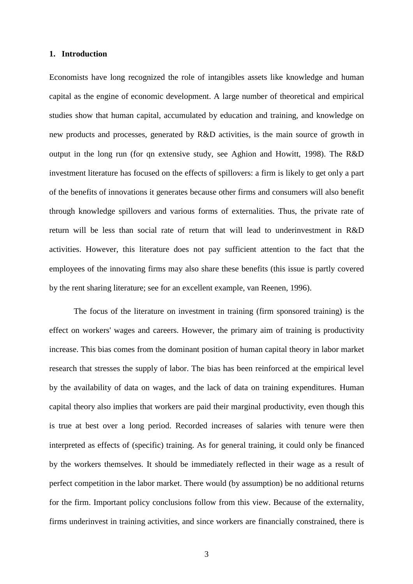#### **1. Introduction**

Economists have long recognized the role of intangibles assets like knowledge and human capital as the engine of economic development. A large number of theoretical and empirical studies show that human capital, accumulated by education and training, and knowledge on new products and processes, generated by R&D activities, is the main source of growth in output in the long run (for qn extensive study, see Aghion and Howitt, 1998). The R&D investment literature has focused on the effects of spillovers: a firm is likely to get only a part of the benefits of innovations it generates because other firms and consumers will also benefit through knowledge spillovers and various forms of externalities. Thus, the private rate of return will be less than social rate of return that will lead to underinvestment in R&D activities. However, this literature does not pay sufficient attention to the fact that the employees of the innovating firms may also share these benefits (this issue is partly covered by the rent sharing literature; see for an excellent example, van Reenen, 1996).

The focus of the literature on investment in training (firm sponsored training) is the effect on workers' wages and careers. However, the primary aim of training is productivity increase. This bias comes from the dominant position of human capital theory in labor market research that stresses the supply of labor. The bias has been reinforced at the empirical level by the availability of data on wages, and the lack of data on training expenditures. Human capital theory also implies that workers are paid their marginal productivity, even though this is true at best over a long period. Recorded increases of salaries with tenure were then interpreted as effects of (specific) training. As for general training, it could only be financed by the workers themselves. It should be immediately reflected in their wage as a result of perfect competition in the labor market. There would (by assumption) be no additional returns for the firm. Important policy conclusions follow from this view. Because of the externality, firms underinvest in training activities, and since workers are financially constrained, there is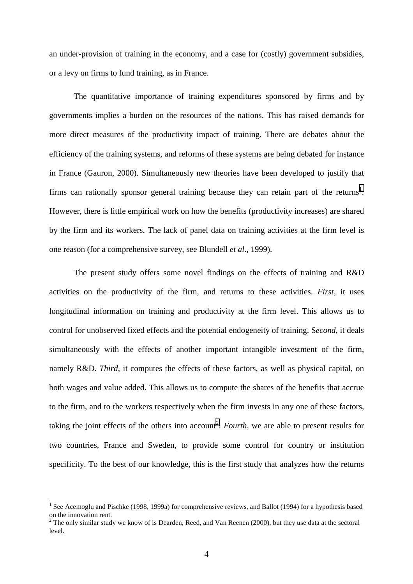an under-provision of training in the economy, and a case for (costly) government subsidies, or a levy on firms to fund training, as in France.

The quantitative importance of training expenditures sponsored by firms and by governments implies a burden on the resources of the nations. This has raised demands for more direct measures of the productivity impact of training. There are debates about the efficiency of the training systems, and reforms of these systems are being debated for instance in France (Gauron, 2000). Simultaneously new theories have been developed to justify that firms can rationally sponsor general training because they can retain part of the returns<sup>1</sup>. However, there is little empirical work on how the benefits (productivity increases) are shared by the firm and its workers. The lack of panel data on training activities at the firm level is one reason (for a comprehensive survey, see Blundell *et al*., 1999).

The present study offers some novel findings on the effects of training and R&D activities on the productivity of the firm, and returns to these activities. *First,* it uses longitudinal information on training and productivity at the firm level. This allows us to control for unobserved fixed effects and the potential endogeneity of training. S*econd,* it deals simultaneously with the effects of another important intangible investment of the firm, namely R&D. *Third*, it computes the effects of these factors, as well as physical capital, on both wages and value added. This allows us to compute the shares of the benefits that accrue to the firm, and to the workers respectively when the firm invests in any one of these factors, taking the joint effects of the others into account<sup>2</sup>. *Fourth*, we are able to present results for two countries, France and Sweden, to provide some control for country or institution specificity. To the best of our knowledge, this is the first study that analyzes how the returns

 $\overline{a}$ 

<sup>&</sup>lt;sup>1</sup> See Acemoglu and Pischke (1998, 1999a) for comprehensive reviews, and Ballot (1994) for a hypothesis based on the innovation rent.

 $2^2$  The only similar study we know of is Dearden, Reed, and Van Reenen (2000), but they use data at the sectoral level.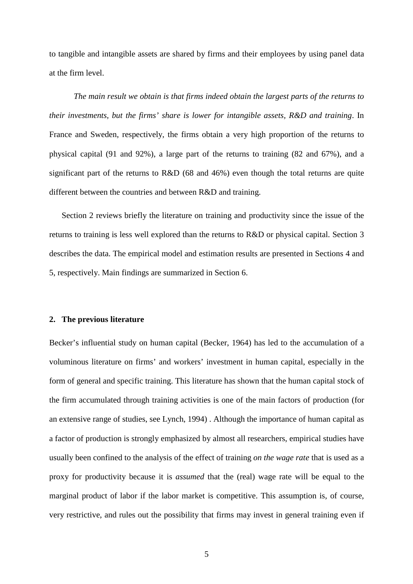to tangible and intangible assets are shared by firms and their employees by using panel data at the firm level.

*The main result we obtain is that firms indeed obtain the largest parts of the returns to their investments, but the firms' share is lower for intangible assets, R&D and training*. In France and Sweden, respectively, the firms obtain a very high proportion of the returns to physical capital (91 and 92%), a large part of the returns to training (82 and 67%), and a significant part of the returns to  $R&D(68)$  and  $46%$ ) even though the total returns are quite different between the countries and between R&D and training.

Section 2 reviews briefly the literature on training and productivity since the issue of the returns to training is less well explored than the returns to R&D or physical capital. Section 3 describes the data. The empirical model and estimation results are presented in Sections 4 and 5, respectively. Main findings are summarized in Section 6.

#### **2. The previous literature**

Becker's influential study on human capital (Becker, 1964) has led to the accumulation of a voluminous literature on firms' and workers' investment in human capital, especially in the form of general and specific training. This literature has shown that the human capital stock of the firm accumulated through training activities is one of the main factors of production (for an extensive range of studies, see Lynch, 1994) . Although the importance of human capital as a factor of production is strongly emphasized by almost all researchers, empirical studies have usually been confined to the analysis of the effect of training *on the wage rate* that is used as a proxy for productivity because it is *assumed* that the (real) wage rate will be equal to the marginal product of labor if the labor market is competitive. This assumption is, of course, very restrictive, and rules out the possibility that firms may invest in general training even if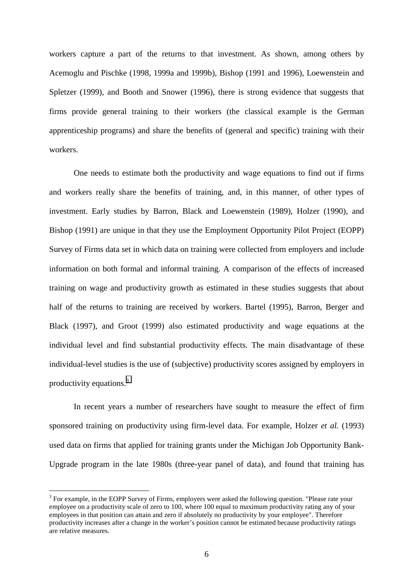workers capture a part of the returns to that investment. As shown, among others by Acemoglu and Pischke (1998, 1999a and 1999b), Bishop (1991 and 1996), Loewenstein and Spletzer (1999), and Booth and Snower (1996), there is strong evidence that suggests that firms provide general training to their workers (the classical example is the German apprenticeship programs) and share the benefits of (general and specific) training with their workers.

One needs to estimate both the productivity and wage equations to find out if firms and workers really share the benefits of training, and, in this manner, of other types of investment. Early studies by Barron, Black and Loewenstein (1989), Holzer (1990), and Bishop (1991) are unique in that they use the Employment Opportunity Pilot Project (EOPP) Survey of Firms data set in which data on training were collected from employers and include information on both formal and informal training. A comparison of the effects of increased training on wage and productivity growth as estimated in these studies suggests that about half of the returns to training are received by workers. Bartel (1995), Barron, Berger and Black (1997), and Groot (1999) also estimated productivity and wage equations at the individual level and find substantial productivity effects. The main disadvantage of these individual-level studies is the use of (subjective) productivity scores assigned by employers in productivity equations.3

In recent years a number of researchers have sought to measure the effect of firm sponsored training on productivity using firm-level data. For example, Holzer *et al.* (1993) used data on firms that applied for training grants under the Michigan Job Opportunity Bank-Upgrade program in the late 1980s (three-year panel of data), and found that training has

 $\overline{a}$ 

 $3$  For example, in the EOPP Survey of Firms, employers were asked the following question. "Please rate your employee on a productivity scale of zero to 100, where 100 equal to maximum productivity rating any of your employees in that position can attain and zero if absolutely no productivity by your employee". Therefore productivity increases after a change in the worker's position cannot be estimated because productivity ratings are relative measures.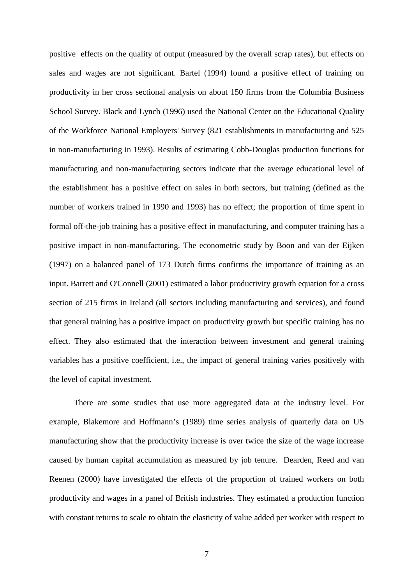positive effects on the quality of output (measured by the overall scrap rates), but effects on sales and wages are not significant. Bartel (1994) found a positive effect of training on productivity in her cross sectional analysis on about 150 firms from the Columbia Business School Survey. Black and Lynch (1996) used the National Center on the Educational Quality of the Workforce National Employers' Survey (821 establishments in manufacturing and 525 in non-manufacturing in 1993). Results of estimating Cobb-Douglas production functions for manufacturing and non-manufacturing sectors indicate that the average educational level of the establishment has a positive effect on sales in both sectors, but training (defined as the number of workers trained in 1990 and 1993) has no effect; the proportion of time spent in formal off-the-job training has a positive effect in manufacturing, and computer training has a positive impact in non-manufacturing. The econometric study by Boon and van der Eijken (1997) on a balanced panel of 173 Dutch firms confirms the importance of training as an input. Barrett and O'Connell (2001) estimated a labor productivity growth equation for a cross section of 215 firms in Ireland (all sectors including manufacturing and services), and found that general training has a positive impact on productivity growth but specific training has no effect. They also estimated that the interaction between investment and general training variables has a positive coefficient, i.e., the impact of general training varies positively with the level of capital investment.

There are some studies that use more aggregated data at the industry level. For example, Blakemore and Hoffmann's (1989) time series analysis of quarterly data on US manufacturing show that the productivity increase is over twice the size of the wage increase caused by human capital accumulation as measured by job tenure. Dearden, Reed and van Reenen (2000) have investigated the effects of the proportion of trained workers on both productivity and wages in a panel of British industries. They estimated a production function with constant returns to scale to obtain the elasticity of value added per worker with respect to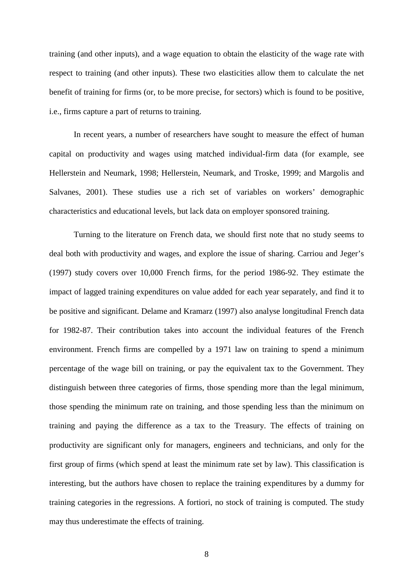training (and other inputs), and a wage equation to obtain the elasticity of the wage rate with respect to training (and other inputs). These two elasticities allow them to calculate the net benefit of training for firms (or, to be more precise, for sectors) which is found to be positive, i.e., firms capture a part of returns to training.

In recent years, a number of researchers have sought to measure the effect of human capital on productivity and wages using matched individual-firm data (for example, see Hellerstein and Neumark, 1998; Hellerstein, Neumark, and Troske, 1999; and Margolis and Salvanes, 2001). These studies use a rich set of variables on workers' demographic characteristics and educational levels, but lack data on employer sponsored training.

Turning to the literature on French data, we should first note that no study seems to deal both with productivity and wages, and explore the issue of sharing. Carriou and Jeger's (1997) study covers over 10,000 French firms, for the period 1986-92. They estimate the impact of lagged training expenditures on value added for each year separately, and find it to be positive and significant. Delame and Kramarz (1997) also analyse longitudinal French data for 1982-87. Their contribution takes into account the individual features of the French environment. French firms are compelled by a 1971 law on training to spend a minimum percentage of the wage bill on training, or pay the equivalent tax to the Government. They distinguish between three categories of firms, those spending more than the legal minimum, those spending the minimum rate on training, and those spending less than the minimum on training and paying the difference as a tax to the Treasury. The effects of training on productivity are significant only for managers, engineers and technicians, and only for the first group of firms (which spend at least the minimum rate set by law). This classification is interesting, but the authors have chosen to replace the training expenditures by a dummy for training categories in the regressions. A fortiori, no stock of training is computed. The study may thus underestimate the effects of training.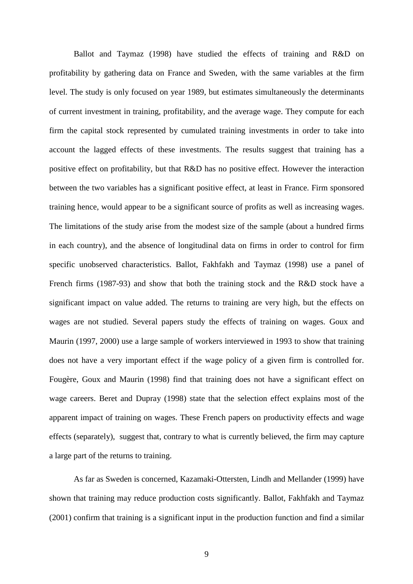Ballot and Taymaz (1998) have studied the effects of training and R&D on profitability by gathering data on France and Sweden, with the same variables at the firm level. The study is only focused on year 1989, but estimates simultaneously the determinants of current investment in training, profitability, and the average wage. They compute for each firm the capital stock represented by cumulated training investments in order to take into account the lagged effects of these investments. The results suggest that training has a positive effect on profitability, but that R&D has no positive effect. However the interaction between the two variables has a significant positive effect, at least in France. Firm sponsored training hence, would appear to be a significant source of profits as well as increasing wages. The limitations of the study arise from the modest size of the sample (about a hundred firms in each country), and the absence of longitudinal data on firms in order to control for firm specific unobserved characteristics. Ballot, Fakhfakh and Taymaz (1998) use a panel of French firms (1987-93) and show that both the training stock and the R&D stock have a significant impact on value added. The returns to training are very high, but the effects on wages are not studied. Several papers study the effects of training on wages. Goux and Maurin (1997, 2000) use a large sample of workers interviewed in 1993 to show that training does not have a very important effect if the wage policy of a given firm is controlled for. Fougère, Goux and Maurin (1998) find that training does not have a significant effect on wage careers. Beret and Dupray (1998) state that the selection effect explains most of the apparent impact of training on wages. These French papers on productivity effects and wage effects (separately), suggest that, contrary to what is currently believed, the firm may capture a large part of the returns to training.

As far as Sweden is concerned, Kazamaki-Ottersten, Lindh and Mellander (1999) have shown that training may reduce production costs significantly. Ballot, Fakhfakh and Taymaz (2001) confirm that training is a significant input in the production function and find a similar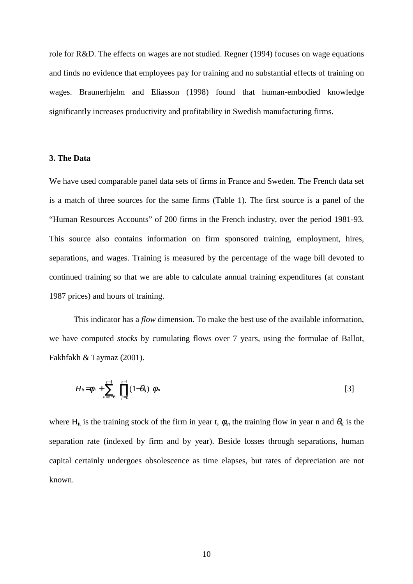role for R&D. The effects on wages are not studied. Regner (1994) focuses on wage equations and finds no evidence that employees pay for training and no substantial effects of training on wages. Braunerhjelm and Eliasson (1998) found that human-embodied knowledge significantly increases productivity and profitability in Swedish manufacturing firms.

## **3. The Data**

We have used comparable panel data sets of firms in France and Sweden. The French data set is a match of three sources for the same firms (Table 1). The first source is a panel of the "Human Resources Accounts" of 200 firms in the French industry, over the period 1981-93. This source also contains information on firm sponsored training, employment, hires, separations, and wages. Training is measured by the percentage of the wage bill devoted to continued training so that we are able to calculate annual training expenditures (at constant 1987 prices) and hours of training.

This indicator has a *flow* dimension. To make the best use of the available information, we have computed *stocks* by cumulating flows over 7 years, using the formulae of Ballot, Fakhfakh & Taymaz (2001).

$$
H_{ii} = \phi_{ii} + \sum_{n=i-6}^{i-1} \left\{ \prod_{j=n}^{i-1} (1-\theta_{ij}) \right\} \phi_{in}
$$
 [3]

where H<sub>it</sub> is the training stock of the firm in year t,  $\phi_{in}$  the training flow in year n and  $\theta_{it}$  is the separation rate (indexed by firm and by year). Beside losses through separations, human capital certainly undergoes obsolescence as time elapses, but rates of depreciation are not known.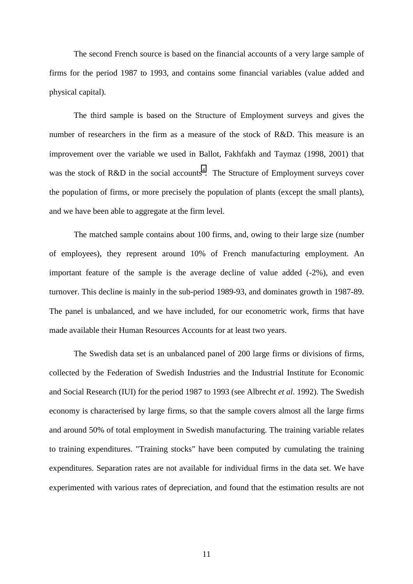The second French source is based on the financial accounts of a very large sample of firms for the period 1987 to 1993, and contains some financial variables (value added and physical capital).

The third sample is based on the Structure of Employment surveys and gives the number of researchers in the firm as a measure of the stock of R&D. This measure is an improvement over the variable we used in Ballot, Fakhfakh and Taymaz (1998, 2001) that was the stock of R&D in the social accounts<sup>4</sup>. The Structure of Employment surveys cover the population of firms, or more precisely the population of plants (except the small plants), and we have been able to aggregate at the firm level.

The matched sample contains about 100 firms, and, owing to their large size (number of employees), they represent around 10% of French manufacturing employment. An important feature of the sample is the average decline of value added (-2%), and even turnover. This decline is mainly in the sub-period 1989-93, and dominates growth in 1987-89. The panel is unbalanced, and we have included, for our econometric work, firms that have made available their Human Resources Accounts for at least two years.

The Swedish data set is an unbalanced panel of 200 large firms or divisions of firms, collected by the Federation of Swedish Industries and the Industrial Institute for Economic and Social Research (IUI) for the period 1987 to 1993 (see Albrecht *et al*. 1992). The Swedish economy is characterised by large firms, so that the sample covers almost all the large firms and around 50% of total employment in Swedish manufacturing. The training variable relates to training expenditures. "Training stocks" have been computed by cumulating the training expenditures. Separation rates are not available for individual firms in the data set. We have experimented with various rates of depreciation, and found that the estimation results are not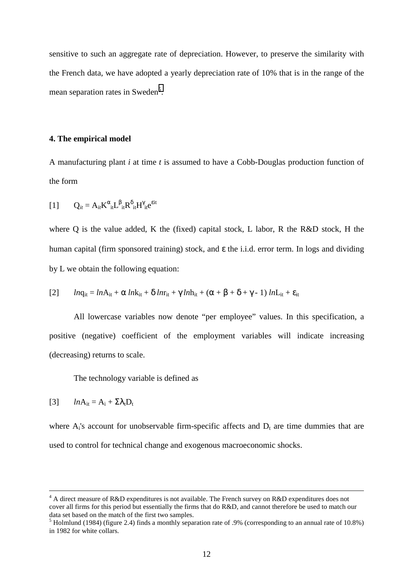sensitive to such an aggregate rate of depreciation. However, to preserve the similarity with the French data, we have adopted a yearly depreciation rate of 10% that is in the range of the mean separation rates in Sweden<sup>5</sup>.

#### **4. The empirical model**

A manufacturing plant *i* at time *t* is assumed to have a Cobb-Douglas production function of the form

[1] 
$$
Q_{it} = A_{it} K^{\alpha}_{it} L^{\beta}_{it} R^{\delta}_{it} H^{\gamma}_{it} e^{\epsilon i t}
$$

where Q is the value added, K the (fixed) capital stock, L labor, R the R&D stock, H the human capital (firm sponsored training) stock, and ε the i.i.d. error term. In logs and dividing by L we obtain the following equation:

[2] 
$$
lnq_{it} = lnA_{it} + \alpha lnk_{it} + \delta lnr_{it} + \gamma lnh_{it} + (\alpha + \beta + \delta + \gamma - 1) lnL_{it} + \varepsilon_{it}
$$

All lowercase variables now denote "per employee" values. In this specification, a positive (negative) coefficient of the employment variables will indicate increasing (decreasing) returns to scale.

The technology variable is defined as

$$
[3] \qquad ln A_{it} = A_i + \Sigma \lambda_t D_t
$$

where  $A_i$ 's account for unobservable firm-specific affects and  $D_t$  are time dummies that are used to control for technical change and exogenous macroeconomic shocks.

 $\frac{1}{4}$  $4$  A direct measure of R&D expenditures is not available. The French survey on R&D expenditures does not cover all firms for this period but essentially the firms that do R&D, and cannot therefore be used to match our data set based on the match of the first two samples.

<sup>&</sup>lt;sup>5</sup> Holmlund (1984) (figure 2.4) finds a monthly separation rate of .9% (corresponding to an annual rate of 10.8%) in 1982 for white collars.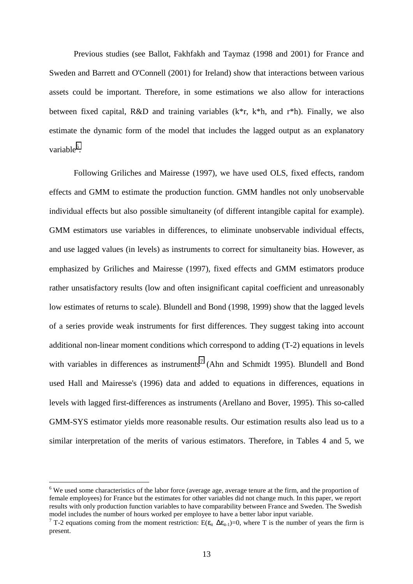Previous studies (see Ballot, Fakhfakh and Taymaz (1998 and 2001) for France and Sweden and Barrett and O'Connell (2001) for Ireland) show that interactions between various assets could be important. Therefore, in some estimations we also allow for interactions between fixed capital, R&D and training variables (k\*r, k\*h, and r\*h). Finally, we also estimate the dynamic form of the model that includes the lagged output as an explanatory variable<sup>6</sup>.

Following Griliches and Mairesse (1997), we have used OLS, fixed effects, random effects and GMM to estimate the production function. GMM handles not only unobservable individual effects but also possible simultaneity (of different intangible capital for example). GMM estimators use variables in differences, to eliminate unobservable individual effects, and use lagged values (in levels) as instruments to correct for simultaneity bias. However, as emphasized by Griliches and Mairesse (1997), fixed effects and GMM estimators produce rather unsatisfactory results (low and often insignificant capital coefficient and unreasonably low estimates of returns to scale). Blundell and Bond (1998, 1999) show that the lagged levels of a series provide weak instruments for first differences. They suggest taking into account additional non-linear moment conditions which correspond to adding (T-2) equations in levels with variables in differences as instruments<sup>7</sup> (Ahn and Schmidt 1995). Blundell and Bond used Hall and Mairesse's (1996) data and added to equations in differences, equations in levels with lagged first-differences as instruments (Arellano and Bover, 1995). This so-called GMM-SYS estimator yields more reasonable results. Our estimation results also lead us to a similar interpretation of the merits of various estimators. Therefore, in Tables 4 and 5, we

 $\overline{a}$ 

 $6$  We used some characteristics of the labor force (average age, average tenure at the firm, and the proportion of female employees) for France but the estimates for other variables did not change much. In this paper, we report results with only production function variables to have comparability between France and Sweden. The Swedish model includes the number of hours worked per employee to have a better labor input variable.

<sup>&</sup>lt;sup>7</sup> T-2 equations coming from the moment restriction: E( $\varepsilon_{it} \Delta \varepsilon_{it-1}$ )=0, where T is the number of years the firm is present.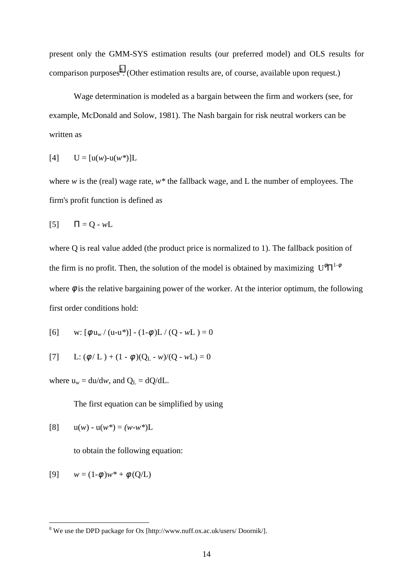present only the GMM-SYS estimation results (our preferred model) and OLS results for comparison purposes<sup>8</sup>. (Other estimation results are, of course, available upon request.)

Wage determination is modeled as a bargain between the firm and workers (see, for example, McDonald and Solow, 1981). The Nash bargain for risk neutral workers can be written as

$$
[4] \qquad U = [u(w)-u(w^*)]L
$$

where *w* is the (real) wage rate, *w\** the fallback wage, and L the number of employees. The firm's profit function is defined as

$$
[5] \qquad \Pi = Q - wL
$$

where Q is real value added (the product price is normalized to 1). The fallback position of the firm is no profit. Then, the solution of the model is obtained by maximizing  $U^{\phi} \Pi^{1-\phi}$ where  $\phi$  is the relative bargaining power of the worker. At the interior optimum, the following first order conditions hold:

[6] w: 
$$
\left[\phi \frac{u_w}{(u-u^*)}\right] - \left(1-\phi\right)L / (Q - wL) = 0
$$

[7] L: 
$$
(\phi/L) + (1 - \phi)(Q_L - w)/(Q - wL) = 0
$$

where  $u_w = du/dw$ , and  $Q_L = dQ/dL$ .

The first equation can be simplified by using

[8] 
$$
u(w) - u(w^*) = (w - w^*)L
$$

to obtain the following equation:

[9] 
$$
w = (1-\phi)w^* + \phi(Q/L)
$$

 8 We use the DPD package for Ox [http://www.nuff.ox.ac.uk/users/ Doornik/].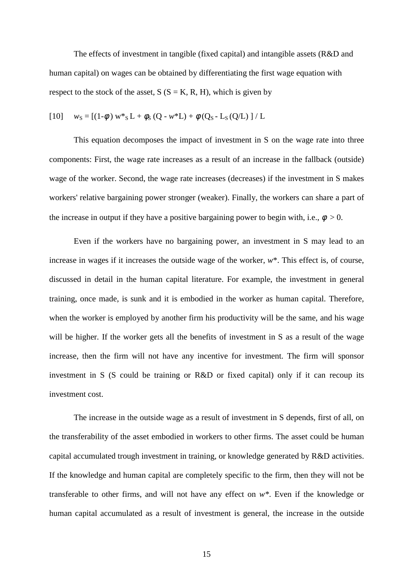The effects of investment in tangible (fixed capital) and intangible assets (R&D and human capital) on wages can be obtained by differentiating the first wage equation with respect to the stock of the asset,  $S(S = K, R, H)$ , which is given by

[10] 
$$
w_S = [(1-\phi) w *_{S} L + \phi_S (Q - w * L) + \phi (Q_S - L_S (Q/L) ] / L
$$

This equation decomposes the impact of investment in S on the wage rate into three components: First, the wage rate increases as a result of an increase in the fallback (outside) wage of the worker. Second, the wage rate increases (decreases) if the investment in S makes workers' relative bargaining power stronger (weaker). Finally, the workers can share a part of the increase in output if they have a positive bargaining power to begin with, i.e.,  $\phi > 0$ .

Even if the workers have no bargaining power, an investment in S may lead to an increase in wages if it increases the outside wage of the worker, *w*\*. This effect is, of course, discussed in detail in the human capital literature. For example, the investment in general training, once made, is sunk and it is embodied in the worker as human capital. Therefore, when the worker is employed by another firm his productivity will be the same, and his wage will be higher. If the worker gets all the benefits of investment in S as a result of the wage increase, then the firm will not have any incentive for investment. The firm will sponsor investment in S (S could be training or R&D or fixed capital) only if it can recoup its investment cost.

The increase in the outside wage as a result of investment in S depends, first of all, on the transferability of the asset embodied in workers to other firms. The asset could be human capital accumulated trough investment in training, or knowledge generated by R&D activities. If the knowledge and human capital are completely specific to the firm, then they will not be transferable to other firms, and will not have any effect on *w\**. Even if the knowledge or human capital accumulated as a result of investment is general, the increase in the outside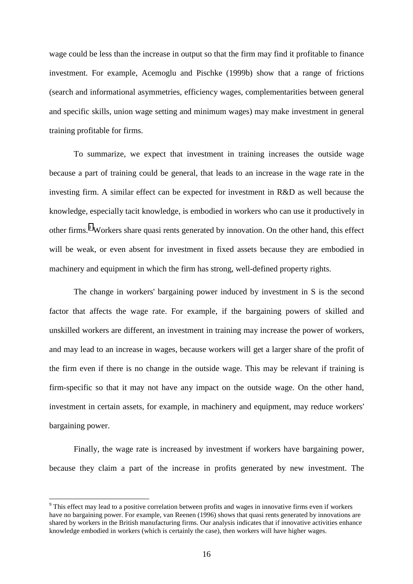wage could be less than the increase in output so that the firm may find it profitable to finance investment. For example, Acemoglu and Pischke (1999b) show that a range of frictions (search and informational asymmetries, efficiency wages, complementarities between general and specific skills, union wage setting and minimum wages) may make investment in general training profitable for firms.

To summarize, we expect that investment in training increases the outside wage because a part of training could be general, that leads to an increase in the wage rate in the investing firm. A similar effect can be expected for investment in R&D as well because the knowledge, especially tacit knowledge, is embodied in workers who can use it productively in other firms.<sup>9</sup> Workers share quasi rents generated by innovation. On the other hand, this effect will be weak, or even absent for investment in fixed assets because they are embodied in machinery and equipment in which the firm has strong, well-defined property rights.

The change in workers' bargaining power induced by investment in S is the second factor that affects the wage rate. For example, if the bargaining powers of skilled and unskilled workers are different, an investment in training may increase the power of workers, and may lead to an increase in wages, because workers will get a larger share of the profit of the firm even if there is no change in the outside wage. This may be relevant if training is firm-specific so that it may not have any impact on the outside wage. On the other hand, investment in certain assets, for example, in machinery and equipment, may reduce workers' bargaining power.

Finally, the wage rate is increased by investment if workers have bargaining power, because they claim a part of the increase in profits generated by new investment. The

 $\overline{a}$ 

<sup>&</sup>lt;sup>9</sup> This effect may lead to a positive correlation between profits and wages in innovative firms even if workers have no bargaining power. For example, van Reenen (1996) shows that quasi rents generated by innovations are shared by workers in the British manufacturing firms. Our analysis indicates that if innovative activities enhance knowledge embodied in workers (which is certainly the case), then workers will have higher wages.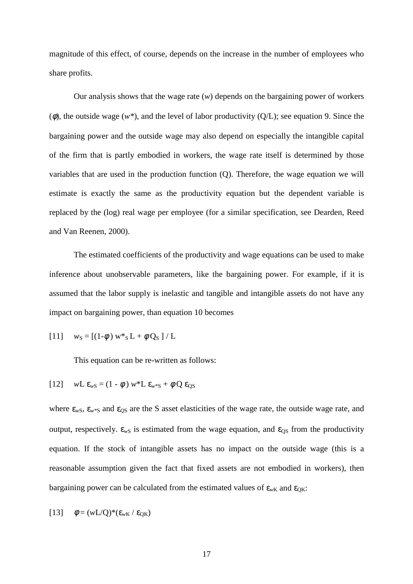magnitude of this effect, of course, depends on the increase in the number of employees who share profits.

Our analysis shows that the wage rate (*w*) depends on the bargaining power of workers (φ), the outside wage (*w\**), and the level of labor productivity (Q/L); see equation 9. Since the bargaining power and the outside wage may also depend on especially the intangible capital of the firm that is partly embodied in workers, the wage rate itself is determined by those variables that are used in the production function (Q). Therefore, the wage equation we will estimate is exactly the same as the productivity equation but the dependent variable is replaced by the (log) real wage per employee (for a similar specification, see Dearden, Reed and Van Reenen, 2000).

The estimated coefficients of the productivity and wage equations can be used to make inference about unobservable parameters, like the bargaining power. For example, if it is assumed that the labor supply is inelastic and tangible and intangible assets do not have any impact on bargaining power, than equation 10 becomes

[11] 
$$
w_S = [(1-\phi) w *_{S} L + \phi Q_S] / L
$$

This equation can be re-written as follows:

[12] 
$$
wL \varepsilon_{wS} = (1 - \phi) w^* L \varepsilon_{w^*S} + \phi Q \varepsilon_{QS}
$$

where  $\epsilon_{wS}$ ,  $\epsilon_{w*S}$  and  $\epsilon_{OS}$  are the S asset elasticities of the wage rate, the outside wage rate, and output, respectively.  $\varepsilon_{wS}$  is estimated from the wage equation, and  $\varepsilon_{OS}$  from the productivity equation. If the stock of intangible assets has no impact on the outside wage (this is a reasonable assumption given the fact that fixed assets are not embodied in workers), then bargaining power can be calculated from the estimated values of  $\epsilon_{wK}$  and  $\epsilon_{OK}$ :

[13] 
$$
\phi = (wL/Q)^*(\epsilon_{wK} / \epsilon_{QK})
$$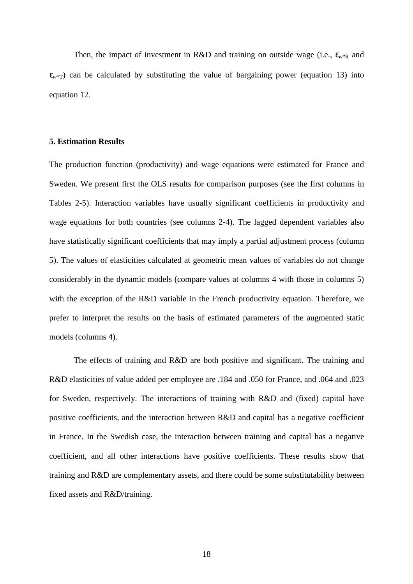Then, the impact of investment in R&D and training on outside wage (i.e.,  $\varepsilon_{w*R}$  and  $\varepsilon_{w^*\tau}$ ) can be calculated by substituting the value of bargaining power (equation 13) into equation 12.

# **5. Estimation Results**

The production function (productivity) and wage equations were estimated for France and Sweden. We present first the OLS results for comparison purposes (see the first columns in Tables 2-5). Interaction variables have usually significant coefficients in productivity and wage equations for both countries (see columns 2-4). The lagged dependent variables also have statistically significant coefficients that may imply a partial adjustment process (column 5). The values of elasticities calculated at geometric mean values of variables do not change considerably in the dynamic models (compare values at columns 4 with those in columns 5) with the exception of the R&D variable in the French productivity equation. Therefore, we prefer to interpret the results on the basis of estimated parameters of the augmented static models (columns 4).

The effects of training and R&D are both positive and significant. The training and R&D elasticities of value added per employee are .184 and .050 for France, and .064 and .023 for Sweden, respectively. The interactions of training with R&D and (fixed) capital have positive coefficients, and the interaction between R&D and capital has a negative coefficient in France. In the Swedish case, the interaction between training and capital has a negative coefficient, and all other interactions have positive coefficients. These results show that training and R&D are complementary assets, and there could be some substitutability between fixed assets and R&D/training.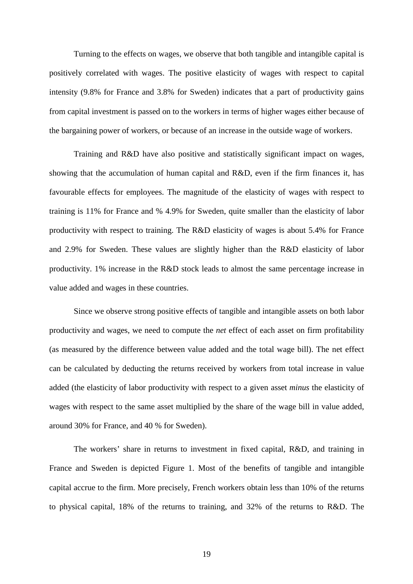Turning to the effects on wages, we observe that both tangible and intangible capital is positively correlated with wages. The positive elasticity of wages with respect to capital intensity (9.8% for France and 3.8% for Sweden) indicates that a part of productivity gains from capital investment is passed on to the workers in terms of higher wages either because of the bargaining power of workers, or because of an increase in the outside wage of workers.

Training and R&D have also positive and statistically significant impact on wages, showing that the accumulation of human capital and R&D, even if the firm finances it, has favourable effects for employees. The magnitude of the elasticity of wages with respect to training is 11% for France and % 4.9% for Sweden, quite smaller than the elasticity of labor productivity with respect to training. The R&D elasticity of wages is about 5.4% for France and 2.9% for Sweden. These values are slightly higher than the R&D elasticity of labor productivity. 1% increase in the R&D stock leads to almost the same percentage increase in value added and wages in these countries.

Since we observe strong positive effects of tangible and intangible assets on both labor productivity and wages, we need to compute the *net* effect of each asset on firm profitability (as measured by the difference between value added and the total wage bill). The net effect can be calculated by deducting the returns received by workers from total increase in value added (the elasticity of labor productivity with respect to a given asset *minus* the elasticity of wages with respect to the same asset multiplied by the share of the wage bill in value added, around 30% for France, and 40 % for Sweden).

The workers' share in returns to investment in fixed capital, R&D, and training in France and Sweden is depicted Figure 1. Most of the benefits of tangible and intangible capital accrue to the firm. More precisely, French workers obtain less than 10% of the returns to physical capital, 18% of the returns to training, and 32% of the returns to R&D. The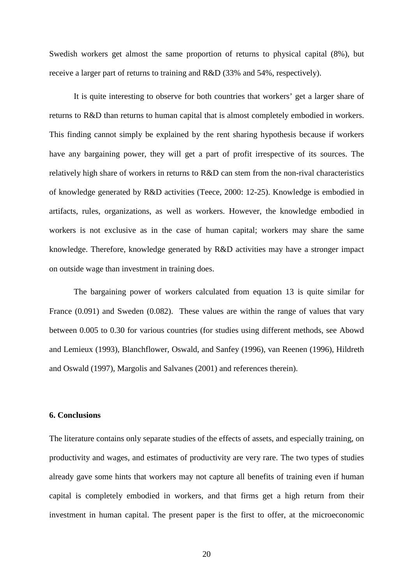Swedish workers get almost the same proportion of returns to physical capital (8%), but receive a larger part of returns to training and R&D (33% and 54%, respectively).

It is quite interesting to observe for both countries that workers' get a larger share of returns to R&D than returns to human capital that is almost completely embodied in workers. This finding cannot simply be explained by the rent sharing hypothesis because if workers have any bargaining power, they will get a part of profit irrespective of its sources. The relatively high share of workers in returns to R&D can stem from the non-rival characteristics of knowledge generated by R&D activities (Teece, 2000: 12-25). Knowledge is embodied in artifacts, rules, organizations, as well as workers. However, the knowledge embodied in workers is not exclusive as in the case of human capital; workers may share the same knowledge. Therefore, knowledge generated by R&D activities may have a stronger impact on outside wage than investment in training does.

The bargaining power of workers calculated from equation 13 is quite similar for France (0.091) and Sweden (0.082). These values are within the range of values that vary between 0.005 to 0.30 for various countries (for studies using different methods, see Abowd and Lemieux (1993), Blanchflower, Oswald, and Sanfey (1996), van Reenen (1996), Hildreth and Oswald (1997), Margolis and Salvanes (2001) and references therein).

# **6. Conclusions**

The literature contains only separate studies of the effects of assets, and especially training, on productivity and wages, and estimates of productivity are very rare. The two types of studies already gave some hints that workers may not capture all benefits of training even if human capital is completely embodied in workers, and that firms get a high return from their investment in human capital. The present paper is the first to offer, at the microeconomic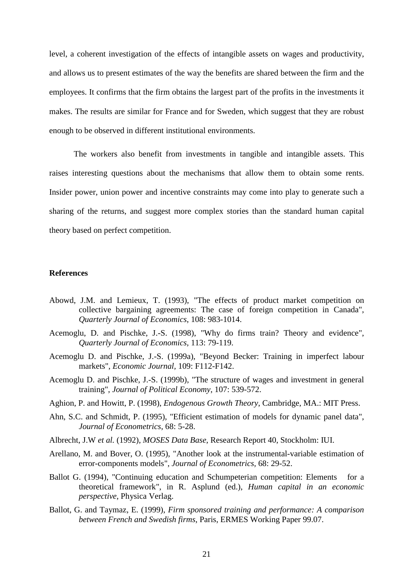level, a coherent investigation of the effects of intangible assets on wages and productivity, and allows us to present estimates of the way the benefits are shared between the firm and the employees. It confirms that the firm obtains the largest part of the profits in the investments it makes. The results are similar for France and for Sweden, which suggest that they are robust enough to be observed in different institutional environments.

The workers also benefit from investments in tangible and intangible assets. This raises interesting questions about the mechanisms that allow them to obtain some rents. Insider power, union power and incentive constraints may come into play to generate such a sharing of the returns, and suggest more complex stories than the standard human capital theory based on perfect competition.

### **References**

- Abowd, J.M. and Lemieux, T. (1993), "The effects of product market competition on collective bargaining agreements: The case of foreign competition in Canada", *Quarterly Journal of Economics*, 108: 983-1014.
- Acemoglu, D. and Pischke, J.-S. (1998), "Why do firms train? Theory and evidence", *Quarterly Journal of Economics,* 113: 79-119.
- Acemoglu D. and Pischke, J.-S. (1999a), "Beyond Becker: Training in imperfect labour markets", *Economic Journal,* 109: F112-F142.
- Acemoglu D. and Pischke, J.-S. (1999b), "The structure of wages and investment in general training", *Journal of Political Economy*, 107: 539-572.
- Aghion, P. and Howitt, P. (1998), *Endogenous Growth Theory*, Cambridge, MA.: MIT Press.
- Ahn, S.C. and Schmidt, P. (1995), "Efficient estimation of models for dynamic panel data", *Journal of Econometrics*, 68: 5-28.
- Albrecht, J.W *et al.* (1992), *MOSES Data Base*, Research Report 40, Stockholm: IUI.
- Arellano, M. and Bover, O. (1995), "Another look at the instrumental-variable estimation of error-components models", *Journal of Econometrics,* 68: 29-52.
- Ballot G. (1994), "Continuing education and Schumpeterian competition: Elements for a theoretical framework", in R. Asplund (ed.), *Human capital in an economic perspective*, Physica Verlag.
- Ballot, G. and Taymaz, E. (1999), *Firm sponsored training and performance: A comparison between French and Swedish firms*, Paris, ERMES Working Paper 99.07.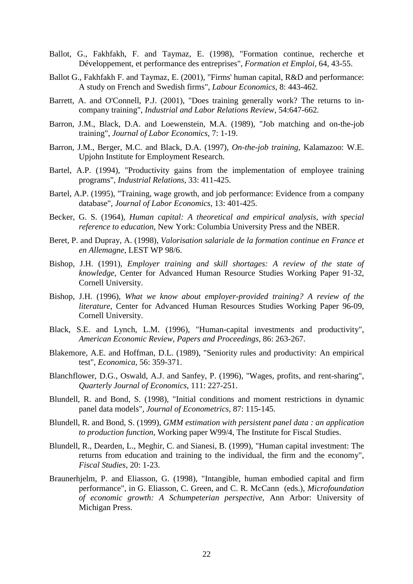- Ballot, G., Fakhfakh, F. and Taymaz, E. (1998), "Formation continue, recherche et Développement, et performance des entreprises", *Formation et Emploi,* 64, 43-55.
- Ballot G., Fakhfakh F. and Taymaz, E. (2001), "Firms' human capital, R&D and performance: A study on French and Swedish firms", *Labour Economics*, 8: 443-462.
- Barrett, A. and O'Connell, P.J. (2001), "Does training generally work? The returns to incompany training", *Industrial and Labor Relations Review*, 54:647-662.
- Barron, J.M., Black, D.A. and Loewenstein, M.A. (1989), "Job matching and on-the-job training", *Journal of Labor Economics*, 7: 1-19.
- Barron, J.M., Berger, M.C. and Black, D.A. (1997), *On-the-job training*, Kalamazoo: W.E. Upjohn Institute for Employment Research.
- Bartel, A.P. (1994), "Productivity gains from the implementation of employee training programs", *Industrial Relations*, 33: 411-425.
- Bartel, A.P. (1995), "Training, wage growth, and job performance: Evidence from a company database", *Journal of Labor Economics*, 13: 401-425.
- Becker, G. S. (1964), *Human capital: A theoretical and empirical analysis, with special reference to education*, New York: Columbia University Press and the NBER.
- Beret, P. and Dupray, A. (1998)*, Valorisation salariale de la formation continue en France et en Allemagne*, LEST WP 98/6.
- Bishop, J.H. (1991), *Employer training and skill shortages: A review of the state of knowledge*, Center for Advanced Human Resource Studies Working Paper 91-32, Cornell University.
- Bishop, J.H. (1996), *What we know about employer-provided training? A review of the literature*, Center for Advanced Human Resources Studies Working Paper 96-09, Cornell University.
- Black, S.E. and Lynch, L.M. (1996), "Human-capital investments and productivity", *American Economic Review, Papers and Proceedings*, 86: 263-267.
- Blakemore, A.E. and Hoffman, D.L. (1989), "Seniority rules and productivity: An empirical test", *Economica*, 56: 359-371.
- Blanchflower, D.G., Oswald, A.J. and Sanfey, P. (1996), "Wages, profits, and rent-sharing", *Quarterly Journal of Economics*, 111: 227-251.
- Blundell, R. and Bond, S. (1998), "Initial conditions and moment restrictions in dynamic panel data models", *Journal of Econometrics*, 87: 115-145.
- Blundell, R. and Bond, S. (1999)*, GMM estimation with persistent panel data : an application to production function*, Working paper W99/4, The Institute for Fiscal Studies.
- Blundell, R., Dearden, L., Meghir, C. and Sianesi, B. (1999), "Human capital investment: The returns from education and training to the individual, the firm and the economy", *Fiscal Studies*, 20: 1-23.
- Braunerhjelm, P. and Eliasson, G. (1998), "Intangible, human embodied capital and firm performance", in G. Eliasson, C. Green, and C. R. McCann (eds.), *Microfoundation of economic growth: A Schumpeterian perspective*, Ann Arbor: University of Michigan Press.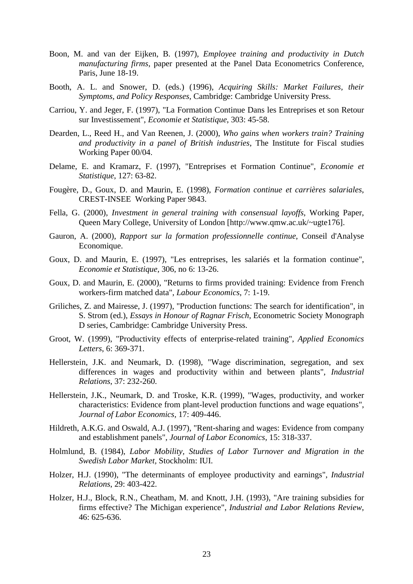- Boon, M. and van der Eijken, B. (1997)*, Employee training and productivity in Dutch manufacturing firms*, paper presented at the Panel Data Econometrics Conference, Paris, June 18-19.
- Booth, A. L. and Snower, D. (eds.) (1996), *Acquiring Skills: Market Failures, their Symptoms, and Policy Responses,* Cambridge: Cambridge University Press.
- Carriou, Y. and Jeger, F. (1997), "La Formation Continue Dans les Entreprises et son Retour sur Investissement", *Economie et Statistique*, 303: 45-58.
- Dearden, L., Reed H., and Van Reenen, J. (2000), *Who gains when workers train? Training and productivity in a panel of British industries*, The Institute for Fiscal studies Working Paper 00/04.
- Delame, E. and Kramarz, F. (1997), "Entreprises et Formation Continue", *Economie et Statistique*, 127: 63-82.
- Fougère, D., Goux, D. and Maurin, E. (1998), *Formation continue et carrières salariales*, CREST-INSEE Working Paper 9843.
- Fella, G. (2000), *Investment in general training with consensual layoffs*, Working Paper, Queen Mary College, University of London [http://www.qmw.ac.uk/~ugte176].
- Gauron, A. (2000), *Rapport sur la formation professionnelle continue*, Conseil d'Analyse Economique.
- Goux, D. and Maurin, E. (1997), "Les entreprises, les salariés et la formation continue", *Economie et Statistique,* 306, no 6: 13-26.
- Goux, D. and Maurin, E. (2000), "Returns to firms provided training: Evidence from French workers-firm matched data", *Labour Economics*, 7: 1-19.
- Griliches, Z. and Mairesse, J. (1997), "Production functions: The search for identification", in S. Strom (ed.), *Essays in Honour of Ragnar Frisch*, Econometric Society Monograph D series, Cambridge: Cambridge University Press.
- Groot, W. (1999), "Productivity effects of enterprise-related training", *Applied Economics Letters*, 6: 369-371.
- Hellerstein, J.K. and Neumark, D. (1998), "Wage discrimination, segregation, and sex differences in wages and productivity within and between plants", *Industrial Relations*, 37: 232-260.
- Hellerstein, J.K., Neumark, D. and Troske, K.R. (1999), "Wages, productivity, and worker characteristics: Evidence from plant-level production functions and wage equations", *Journal of Labor Economics*, 17: 409-446.
- Hildreth, A.K.G. and Oswald, A.J. (1997), "Rent-sharing and wages: Evidence from company and establishment panels", *Journal of Labor Economics*, 15: 318-337.
- Holmlund, B. (1984), *Labor Mobility, Studies of Labor Turnover and Migration in the Swedish Labor Market,* Stockholm: IUI.
- Holzer, H.J. (1990), "The determinants of employee productivity and earnings", *Industrial Relations*, 29: 403-422.
- Holzer, H.J., Block, R.N., Cheatham, M. and Knott, J.H. (1993), "Are training subsidies for firms effective? The Michigan experience", *Industrial and Labor Relations Review*, 46: 625-636.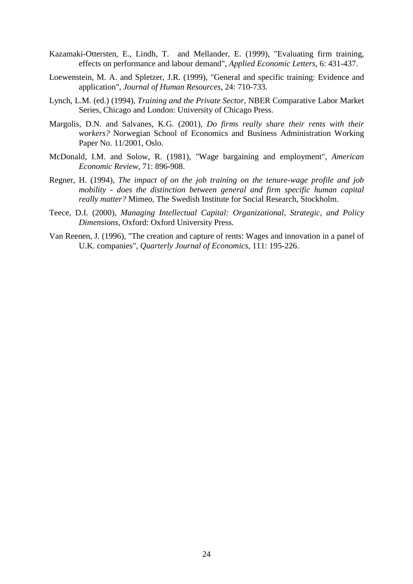- Kazamaki-Ottersten, E., Lindh, T. and Mellander, E. (1999), "Evaluating firm training, effects on performance and labour demand", *Applied Economic Letters*, 6: 431-437.
- Loewenstein, M. A. and Spletzer, J.R. (1999), "General and specific training: Evidence and application", *Journal of Human Resources*, 24: 710-733.
- Lynch, L.M. (ed.) (1994), *Training and the Private Sector*, NBER Comparative Labor Market Series, Chicago and London: University of Chicago Press.
- Margolis, D.N. and Salvanes, K.G. (2001), *Do firms really share their rents with their workers?* Norwegian School of Economics and Business Administration Working Paper No. 11/2001, Oslo.
- McDonald, I.M. and Solow, R. (1981), "Wage bargaining and employment", *American Economic Review*, 71: 896-908.
- Regner, H. (1994), *The impact of on the job training on the tenure-wage profile and job mobility - does the distinction between general and firm specific human capital really matter?* Mimeo, The Swedish Institute for Social Research, Stockholm.
- Teece, D.I. (2000), *Managing Intellectual Capital: Organizational, Strategic, and Policy Dimensions*, Oxford: Oxford University Press.
- Van Reenen, J. (1996), "The creation and capture of rents: Wages and innovation in a panel of U.K. companies", *Quarterly Journal of Economics*, 111: 195-226.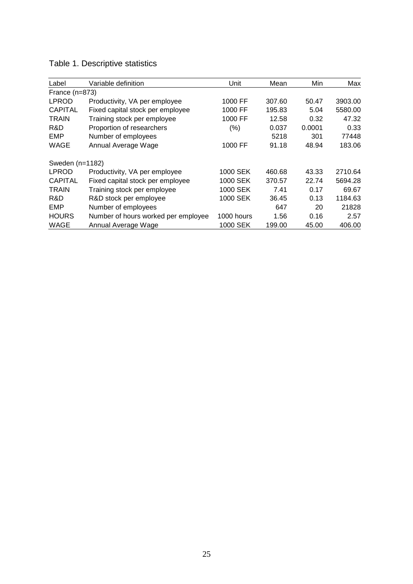| Table 1. Descriptive statistics |  |  |
|---------------------------------|--|--|
|---------------------------------|--|--|

| Label            | Variable definition                 | Unit       | Mean   | Min    | Max     |
|------------------|-------------------------------------|------------|--------|--------|---------|
| France $(n=873)$ |                                     |            |        |        |         |
| <b>LPROD</b>     | Productivity, VA per employee       | 1000 FF    | 307.60 | 50.47  | 3903.00 |
| <b>CAPITAL</b>   | Fixed capital stock per employee    | 1000 FF    | 195.83 | 5.04   | 5580.00 |
| <b>TRAIN</b>     | Training stock per employee         | 1000 FF    | 12.58  | 0.32   | 47.32   |
| R&D              | Proportion of researchers           | (%)        | 0.037  | 0.0001 | 0.33    |
| EMP              | Number of employees                 |            | 5218   | 301    | 77448   |
| <b>WAGE</b>      | Annual Average Wage                 | 1000 FF    | 91.18  | 48.94  | 183.06  |
| Sweden (n=1182)  |                                     |            |        |        |         |
| <b>LPROD</b>     | Productivity, VA per employee       | 1000 SEK   | 460.68 | 43.33  | 2710.64 |
| <b>CAPITAL</b>   | Fixed capital stock per employee    | 1000 SEK   | 370.57 | 22.74  | 5694.28 |
| <b>TRAIN</b>     | Training stock per employee         | 1000 SEK   | 7.41   | 0.17   | 69.67   |
| R&D              | R&D stock per employee              | 1000 SEK   | 36.45  | 0.13   | 1184.63 |
| EMP              | Number of employees                 |            | 647    | 20     | 21828   |
| <b>HOURS</b>     | Number of hours worked per employee | 1000 hours | 1.56   | 0.16   | 2.57    |
| <b>WAGE</b>      | Annual Average Wage                 | 1000 SEK   | 199.00 | 45.00  | 406.00  |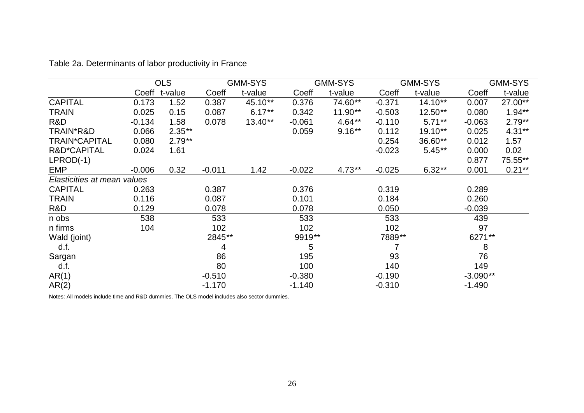|                             | <b>OLS</b> |               | <b>GMM-SYS</b> |           | <b>GMM-SYS</b> |           | <b>GMM-SYS</b> |           | <b>GMM-SYS</b> |           |
|-----------------------------|------------|---------------|----------------|-----------|----------------|-----------|----------------|-----------|----------------|-----------|
|                             |            | Coeff t-value | Coeff          | t-value   | Coeff          | t-value   | Coeff          | t-value   | Coeff          | t-value   |
| <b>CAPITAL</b>              | 0.173      | 1.52          | 0.387          | 45.10**   | 0.376          | 74.60**   | $-0.371$       | $14.10**$ | 0.007          | 27.00**   |
| <b>TRAIN</b>                | 0.025      | 0.15          | 0.087          | $6.17**$  | 0.342          | $11.90**$ | $-0.503$       | $12.50**$ | 0.080          | $1.94**$  |
| R&D                         | $-0.134$   | 1.58          | 0.078          | $13.40**$ | $-0.061$       | $4.64**$  | $-0.110$       | $5.71**$  | $-0.063$       | $2.79**$  |
| TRAIN*R&D                   | 0.066      | $2.35***$     |                |           | 0.059          | $9.16**$  | 0.112          | 19.10**   | 0.025          | $4.31**$  |
| <b>TRAIN*CAPITAL</b>        | 0.080      | $2.79**$      |                |           |                |           | 0.254          | 36.60**   | 0.012          | 1.57      |
| R&D*CAPITAL                 | 0.024      | 1.61          |                |           |                |           | $-0.023$       | $5.45**$  | 0.000          | 0.02      |
| $LPROD(-1)$                 |            |               |                |           |                |           |                |           | 0.877          | 75.55**   |
| <b>EMP</b>                  | $-0.006$   | 0.32          | $-0.011$       | 1.42      | $-0.022$       | $4.73**$  | $-0.025$       | $6.32**$  | 0.001          | $0.21***$ |
| Elasticities at mean values |            |               |                |           |                |           |                |           |                |           |
| <b>CAPITAL</b>              | 0.263      |               | 0.387          |           | 0.376          |           | 0.319          |           | 0.289          |           |
| <b>TRAIN</b>                | 0.116      |               | 0.087          |           | 0.101          |           | 0.184          |           | 0.260          |           |
| R&D                         | 0.129      |               | 0.078          |           | 0.078          |           | 0.050          |           | $-0.039$       |           |
| n obs                       | 538        |               | 533            |           | 533            |           | 533            |           | 439            |           |
| n firms                     | 104        |               | 102            |           | 102            |           | 102            |           | 97             |           |
| Wald (joint)                |            |               | 2845**         |           | 9919**         |           | 7889**         |           | 6271**         |           |
| d.f.                        |            |               | 4              |           | 5              |           |                |           | 8              |           |
| Sargan                      |            |               | 86             |           | 195            |           | 93             |           | 76             |           |
| d.f.                        |            |               | 80             |           | 100            |           | 140            |           | 149            |           |
| AR(1)                       |            |               | $-0.510$       |           | $-0.380$       |           | $-0.190$       |           | $-3.090**$     |           |
| AR(2)                       |            |               | $-1.170$       |           | $-1.140$       |           | $-0.310$       |           | $-1.490$       |           |

Table 2a. Determinants of labor productivity in France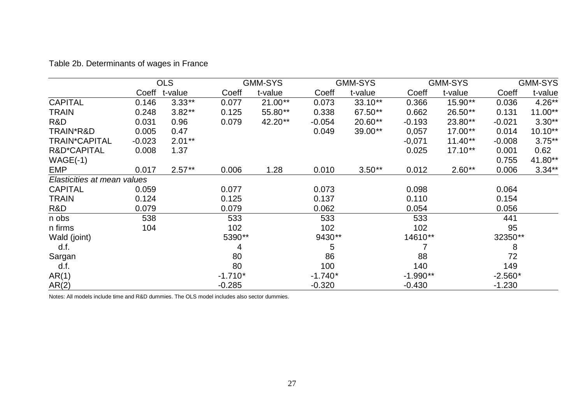Table 2b. Determinants of wages in France

|                             | <b>OLS</b> |          |           | <b>GMM-SYS</b> |           | <b>GMM-SYS</b> |            | <b>GMM-SYS</b> | <b>GMM-SYS</b> |           |
|-----------------------------|------------|----------|-----------|----------------|-----------|----------------|------------|----------------|----------------|-----------|
|                             | Coeff      | t-value  | Coeff     | t-value        | Coeff     | t-value        | Coeff      | t-value        | Coeff          | t-value   |
| <b>CAPITAL</b>              | 0.146      | $3.33**$ | 0.077     | $21.00**$      | 0.073     | 33.10**        | 0.366      | 15.90**        | 0.036          | $4.26**$  |
| TRAIN                       | 0.248      | $3.82**$ | 0.125     | 55.80**        | 0.338     | 67.50**        | 0.662      | 26.50**        | 0.131          | $11.00**$ |
| R&D                         | 0.031      | 0.96     | 0.079     | 42.20**        | $-0.054$  | 20.60**        | $-0.193$   | 23.80**        | $-0.021$       | $3.30**$  |
| TRAIN*R&D                   | 0.005      | 0.47     |           |                | 0.049     | 39.00**        | 0,057      | 17.00**        | 0.014          | $10.10**$ |
| <b>TRAIN*CAPITAL</b>        | $-0.023$   | $2.01**$ |           |                |           |                | $-0,071$   | $11.40**$      | $-0.008$       | $3.75**$  |
| R&D*CAPITAL                 | 0.008      | 1.37     |           |                |           |                | 0.025      | 17.10**        | 0.001          | 0.62      |
| $WAGE(-1)$                  |            |          |           |                |           |                |            |                | 0.755          | 41.80**   |
| <b>EMP</b>                  | 0.017      | $2.57**$ | 0.006     | 1.28           | 0.010     | $3.50**$       | 0.012      | $2.60**$       | 0.006          | $3.34**$  |
| Elasticities at mean values |            |          |           |                |           |                |            |                |                |           |
| <b>CAPITAL</b>              | 0.059      |          | 0.077     |                | 0.073     |                | 0.098      |                | 0.064          |           |
| <b>TRAIN</b>                | 0.124      |          | 0.125     |                | 0.137     |                | 0.110      |                | 0.154          |           |
| R&D                         | 0.079      |          | 0.079     |                | 0.062     |                | 0.054      |                | 0.056          |           |
| n obs                       | 538        |          | 533       |                | 533       |                | 533        |                | 441            |           |
| n firms                     | 104        |          | 102       |                | 102       |                | 102        |                | 95             |           |
| Wald (joint)                |            |          | 5390**    |                | 9430**    |                | 14610**    |                | 32350**        |           |
| d.f.                        |            |          | 4         |                | 5         |                |            |                | 8              |           |
| Sargan                      |            |          | 80        |                | 86        |                | 88         |                | 72             |           |
| d.f.                        |            |          | 80        |                | 100       |                | 140        |                | 149            |           |
| AR(1)                       |            |          | $-1.710*$ |                | $-1.740*$ |                | $-1.990**$ |                | $-2.560*$      |           |
| AR(2)                       |            |          | $-0.285$  |                | $-0.320$  |                | $-0.430$   |                | $-1.230$       |           |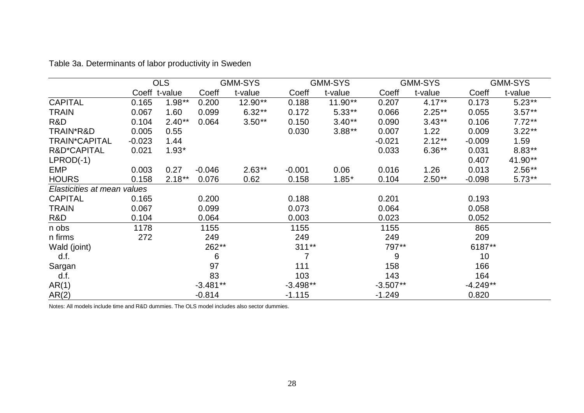| Table 3a. Determinants of labor productivity in Sweden |  |
|--------------------------------------------------------|--|
|--------------------------------------------------------|--|

|                             | <b>OLS</b>    |          |            | <b>GMM-SYS</b> |            | <b>GMM-SYS</b> |            | <b>GMM-SYS</b> |            | <b>GMM-SYS</b> |  |
|-----------------------------|---------------|----------|------------|----------------|------------|----------------|------------|----------------|------------|----------------|--|
|                             | Coeff t-value |          | Coeff      | t-value        | Coeff      | t-value        | Coeff      | t-value        | Coeff      | t-value        |  |
| <b>CAPITAL</b>              | 0.165         | $1.98**$ | 0.200      | 12.90**        | 0.188      | $11.90**$      | 0.207      | $4.17***$      | 0.173      | $5.23**$       |  |
| <b>TRAIN</b>                | 0.067         | 1.60     | 0.099      | $6.32**$       | 0.172      | $5.33**$       | 0.066      | $2.25***$      | 0.055      | $3.57**$       |  |
| R&D                         | 0.104         | $2.40**$ | 0.064      | $3.50**$       | 0.150      | $3.40**$       | 0.090      | $3.43**$       | 0.106      | $7.72**$       |  |
| TRAIN*R&D                   | 0.005         | 0.55     |            |                | 0.030      | $3.88**$       | 0.007      | 1.22           | 0.009      | $3.22**$       |  |
| <b>TRAIN*CAPITAL</b>        | $-0.023$      | 1.44     |            |                |            |                | $-0.021$   | $2.12***$      | $-0.009$   | 1.59           |  |
| R&D*CAPITAL                 | 0.021         | $1.93*$  |            |                |            |                | 0.033      | $6.36**$       | 0.031      | $8.83**$       |  |
| $LPROD(-1)$                 |               |          |            |                |            |                |            |                | 0.407      | 41.90**        |  |
| <b>EMP</b>                  | 0.003         | 0.27     | $-0.046$   | $2.63**$       | $-0.001$   | 0.06           | 0.016      | 1.26           | 0.013      | $2.56**$       |  |
| <b>HOURS</b>                | 0.158         | $2.18**$ | 0.076      | 0.62           | 0.158      | $1.85*$        | 0.104      | $2.50**$       | $-0.098$   | $5.73**$       |  |
| Elasticities at mean values |               |          |            |                |            |                |            |                |            |                |  |
| <b>CAPITAL</b>              | 0.165         |          | 0.200      |                | 0.188      |                | 0.201      |                | 0.193      |                |  |
| <b>TRAIN</b>                | 0.067         |          | 0.099      |                | 0.073      |                | 0.064      |                | 0.058      |                |  |
| R&D                         | 0.104         |          | 0.064      |                | 0.003      |                | 0.023      |                | 0.052      |                |  |
| n obs                       | 1178          |          | 1155       |                | 1155       |                | 1155       |                | 865        |                |  |
| n firms                     | 272           |          | 249        |                | 249        |                | 249        |                | 209        |                |  |
| Wald (joint)                |               |          | 262**      |                | $311**$    |                | 797**      |                | 6187**     |                |  |
| d.f.                        |               |          | 6          |                | 7          |                | 9          |                | 10         |                |  |
| Sargan                      |               |          | 97         |                | 111        |                | 158        |                | 166        |                |  |
| d.f.                        |               |          | 83         |                | 103        |                | 143        |                | 164        |                |  |
| AR(1)                       |               |          | $-3.481**$ |                | $-3.498**$ |                | $-3.507**$ |                | $-4.249**$ |                |  |
| AR(2)                       |               |          | $-0.814$   |                | $-1.115$   |                | $-1.249$   |                | 0.820      |                |  |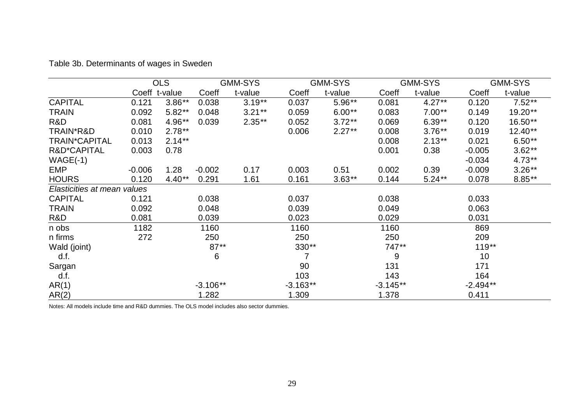Table 3b. Determinants of wages in Sweden

|                             | <b>OLS</b>    |          | <b>GMM-SYS</b> |          |                | <b>GMM-SYS</b> |            | <b>GMM-SYS</b> |            | <b>GMM-SYS</b> |  |
|-----------------------------|---------------|----------|----------------|----------|----------------|----------------|------------|----------------|------------|----------------|--|
|                             | Coeff t-value |          | Coeff          | t-value  | Coeff          | t-value        | Coeff      | t-value        | Coeff      | t-value        |  |
| <b>CAPITAL</b>              | 0.121         | $3.86**$ | 0.038          | $3.19**$ | 0.037          | $5.96**$       | 0.081      | $4.27**$       | 0.120      | $7.52**$       |  |
| <b>TRAIN</b>                | 0.092         | $5.82**$ | 0.048          | $3.21**$ | 0.059          | $6.00**$       | 0.083      | $7.00**$       | 0.149      | 19.20**        |  |
| R&D                         | 0.081         | 4.96**   | 0.039          | $2.35**$ | 0.052          | $3.72**$       | 0.069      | $6.39**$       | 0.120      | 16.50**        |  |
| TRAIN*R&D                   | 0.010         | $2.78**$ |                |          | 0.006          | $2.27**$       | 0.008      | $3.76**$       | 0.019      | $12.40**$      |  |
| <b>TRAIN*CAPITAL</b>        | 0.013         | $2.14**$ |                |          |                |                | 0.008      | $2.13**$       | 0.021      | $6.50**$       |  |
| R&D*CAPITAL                 | 0.003         | 0.78     |                |          |                |                | 0.001      | 0.38           | $-0.005$   | $3.62**$       |  |
| $WAGE(-1)$                  |               |          |                |          |                |                |            |                | $-0.034$   | $4.73**$       |  |
| <b>EMP</b>                  | $-0.006$      | 1.28     | $-0.002$       | 0.17     | 0.003          | 0.51           | 0.002      | 0.39           | $-0.009$   | $3.26**$       |  |
| <b>HOURS</b>                | 0.120         | $4.40**$ | 0.291          | 1.61     | 0.161          | $3.63**$       | 0.144      | $5.24**$       | 0.078      | $8.85**$       |  |
| Elasticities at mean values |               |          |                |          |                |                |            |                |            |                |  |
| <b>CAPITAL</b>              | 0.121         |          | 0.038          |          | 0.037          |                | 0.038      |                | 0.033      |                |  |
| <b>TRAIN</b>                | 0.092         |          | 0.048          |          | 0.039          |                | 0.049      |                | 0.063      |                |  |
| R&D                         | 0.081         |          | 0.039          |          | 0.023          |                | 0.029      |                | 0.031      |                |  |
| n obs                       | 1182          |          | 1160           |          | 1160           |                | 1160       |                | 869        |                |  |
| n firms                     | 272           |          | 250            |          | 250            |                | 250        |                | 209        |                |  |
| Wald (joint)                |               |          | $87**$         |          | 330**          |                | 747**      |                | $119**$    |                |  |
| d.f.                        |               |          | 6              |          | $\overline{7}$ |                | 9          |                | 10         |                |  |
| Sargan                      |               |          |                |          | 90             |                | 131        |                | 171        |                |  |
| d.f.                        |               |          |                |          | 103            |                | 143        |                | 164        |                |  |
| AR(1)                       |               |          | $-3.106**$     |          | $-3.163**$     |                | $-3.145**$ |                | $-2.494**$ |                |  |
| AR(2)                       |               |          | 1.282          |          | 1.309          |                | 1.378      |                | 0.411      |                |  |